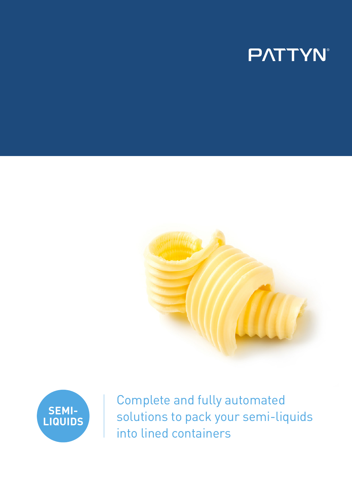# **PATTYN**





Complete and fully automated solutions to pack your semi-liquids into lined containers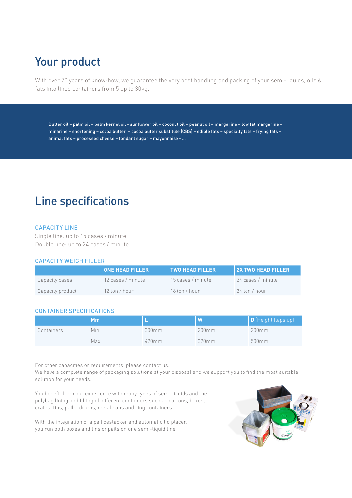## Your product

With over 70 years of know-how, we guarantee the very best handling and packing of your semi-liquids, oils & fats into lined containers from 5 up to 30kg.

Butter oil – palm oil – palm kernel oil - sunflower oil – coconut oil – peanut oil – margarine – low fat margarine – minarine – shortening – cocoa butter – cocoa butter substitute (CBS) – edible fats – specialty fats – frying fats – animal fats – processed cheese – fondant sugar – mayonnaise - …

### Line specifications

#### CAPACITY LINE

Single line: up to 15 cases / minute Double line: up to 24 cases / minute

#### CAPACITY WEIGH FILLER

|                  | <b>ONE HEAD FILLER</b>         | <b>TWO HEAD FILLER</b> | <b>2X TWO HEAD FILLER</b> |
|------------------|--------------------------------|------------------------|---------------------------|
| Capacity cases   | 12 cases / minute              | 15 cases / minute      | 24 cases / minute         |
| Capacity product | $12 \text{ ton} / \text{hour}$ | 18 ton / hour          | 24 ton / hour             |

#### CONTAINER SPECIFICATIONS

|            | Мm   |          | W     | D (Height flaps up) |
|------------|------|----------|-------|---------------------|
| Containers | Min. | 300mm    | 200mm | 200mm               |
|            | Max. | $420$ mm | 320mm | 500 <sub>mm</sub>   |

For other capacities or requirements, please contact us.

We have a complete range of packaging solutions at your disposal and we support you to find the most suitable solution for your needs.

You benefit from our experience with many types of semi-liquids and the polybag lining and filling of different containers such as cartons, boxes, crates, tins, pails, drums, metal cans and ring containers.

With the integration of a pail destacker and automatic lid placer, you run both boxes and tins or pails on one semi-liquid line.

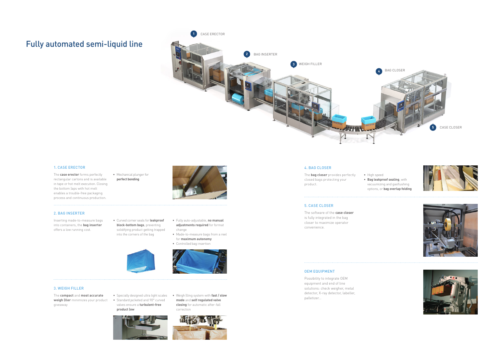### Fully automated semi-liquid line

#### 3. WEIGH FILLER

The **compact** and **most accurate**  weigh (ller minimizes your product • Standard jacketed and 90° curved giveaway

valves ensure a **turbulent-free**  product **Jow** 

• Specially designed ultra light scales • Weigh (lling system with fast / slow **mode** and **self regulated valve closing** for automatic after-fall correction



#### 1. CASE ERECTOR

The **case erector** forms perfectly rectangular cartons and is available in tape or hot melt execution. Closing the bottom Japs with hot melt enables a trouble-free packaging process and continuous production.

• Mechanical plunger for **perfect bonding**

#### 2. BAG INSERTER

 $\sim$  . . . . .

Inserting made-to-measure bags into containers, the **bag inserter** offers a low running cost.

• Curved corner seals for **leakproof block-bottom bags**, preventing solidifying product getting trapped

into the corners of the bag





- Made-to-measure bags from a reel for **maximum autonomy**
- Controlled bag insertion



#### 5. CASE CLOSER

 $1.1.1.1.1$ 

The software of the **case closer** is fully integrated in the bag closer to maximize operator convenience.

#### OEM EQUIPMENT

Possibility to integrate OEM equipment and end of line solutions: check weigher, metal detector, X-ray detector, labeller, palletizer...

#### 4. BAG CLOSER

The **bag closer** provides perfectly closed bags protecting your product.

• High speed • **Bag leakproof sealing**, with vacuumizing and gasflushing options, or **bag overlap folding**







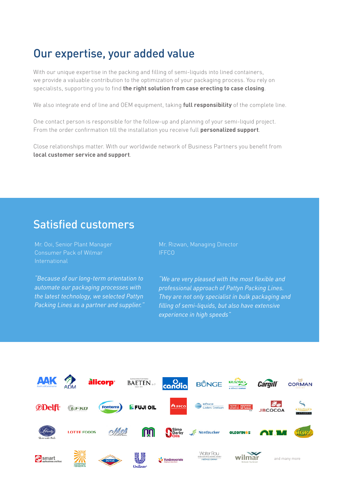### Our expertise, your added value

With our unique expertise in the packing and filling of semi-liquids into lined containers, we provide a valuable contribution to the optimization of your packaging process. You rely on specialists, supporting you to find **the right solution from case erecting to case closing**.

We also integrate end of line and OEM equipment, taking **full responsibility** of the complete line.

One contact person is responsible for the follow-up and planning of your semi-liquid project. From the order confirmation till the installation you receive full **personalized support**.

Close relationships matter. With our worldwide network of Business Partners you benefit from **local customer service and support**.

### Satisfied customers

Mr. Ooi, Senior Plant Manager Consumer Pack of Wilmar International

*"Because of our long-term orientation to automate our packaging processes with the latest technology, we selected Pattyn Packing Lines as a partner and supplier."* Mr. Rizwan, Managing Director IFFCO

*"We are very pleased with the most flexible and professional approach of Pattyn Packing Lines. They are not only specialist in bulk packaging and filling of semi-liquids, but also have extensive experience in high speeds"*